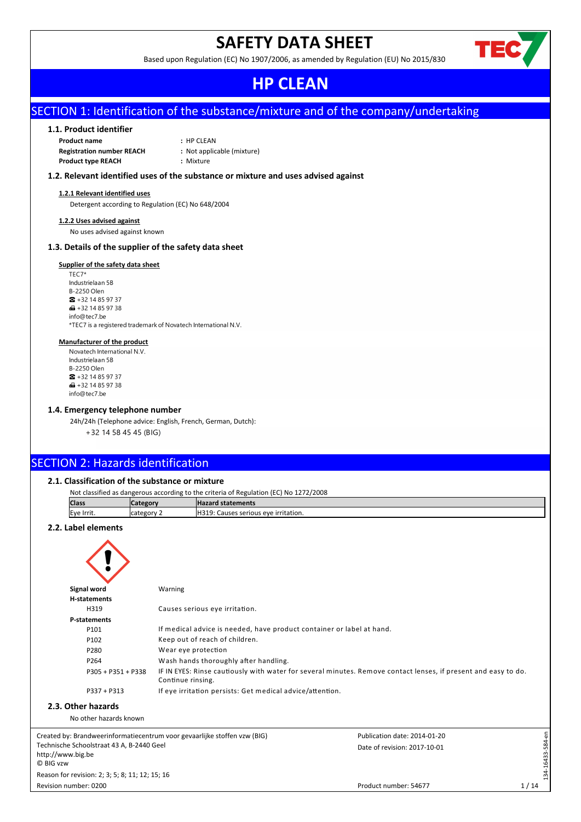# **SAFETY DATA SHEET**

Based upon Regulation (EC) No 1907/2006, as amended by Regulation (EU) No 2015/830



# **HP CLEAN**

# SECTION 1: Identification of the substance/mixture and of the company/undertaking

# **1.1. Product identifier**

| <b>Product name</b>              | $:$ HP CLEAN               |
|----------------------------------|----------------------------|
| <b>Registration number REACH</b> | : Not applicable (mixture) |
| <b>Product type REACH</b>        | : Mixture                  |

# **1.2. Relevant identified uses of the substance or mixture and uses advised against**

#### **1.2.1 Relevant identified uses**

Detergent according to Regulation (EC) No 648/2004

#### **1.2.2 Uses advised against**

No uses advised against known

# **1.3. Details of the supplier of the safety data sheet**

#### **Supplier of the safety data sheet**

TEC7\* Industrielaan 5B B-2250 Olen  $\bullet$  +32 14 85 97 37  $\bigoplus$  +32 14 85 97 38 info@tec7.be \*TEC7 is a registered trademark of Novatech International N.V.

# **Manufacturer of the product**

Novatech International N V Industrielaan 5B B-2250 Olen  $\bullet$  +32 14 85 97 37  $\bigoplus$  +32 14 85 97 38 info@tec7.be

# **1.4. Emergency telephone number**

24h/24h (Telephone advice: English, French, German, Dutch): +32 14 58 45 45 (BIG)

# SECTION 2: Hazards identification

# **2.1. Classification of the substance or mixture**

| Not classified as dangerous according to the criteria of Regulation (EC) No 1272/2008 |             |                                             |  |  |  |
|---------------------------------------------------------------------------------------|-------------|---------------------------------------------|--|--|--|
| <b>Class</b>                                                                          | Category    | <b>Hazard statements</b>                    |  |  |  |
| Eye Irrit.                                                                            | Icategory 2 | <b>H319: Causes serious eve irritation.</b> |  |  |  |
|                                                                                       |             |                                             |  |  |  |

# **2.2. Label elements**

| Signal word                             | Warning                                                                                                                             |
|-----------------------------------------|-------------------------------------------------------------------------------------------------------------------------------------|
| H-statements                            |                                                                                                                                     |
| H319                                    | Causes serious eye irritation.                                                                                                      |
| P-statements                            |                                                                                                                                     |
| P101                                    | If medical advice is needed, have product container or label at hand.                                                               |
| P102                                    | Keep out of reach of children.                                                                                                      |
| P280                                    | Wear eye protection                                                                                                                 |
| P264                                    | Wash hands thoroughly after handling.                                                                                               |
| P305 + P351 + P338                      | IF IN EYES: Rinse cautiously with water for several minutes. Remove contact lenses, if present and easy to do.<br>Continue rinsing. |
| $P337 + P313$                           | If eye irritation persists: Get medical advice/attention.                                                                           |
| Other hazards<br>No other hazards known |                                                                                                                                     |

Created by: Brandweerinformatiecentrum voor gevaarlijke stoffen vzw (BIG) Technische Schoolstraat 43 A, B-2440 Geel http://www.big.be © BIG vzw

Revision number: 0200 Reason for revision: 2; 3; 5; 8; 11; 12; 15; 16

**2.3.** 

Product number: 54677

Date of revision: 2017-10-01 Publication date: 2014-01-20 134-16433-584-en

134-16433-584-en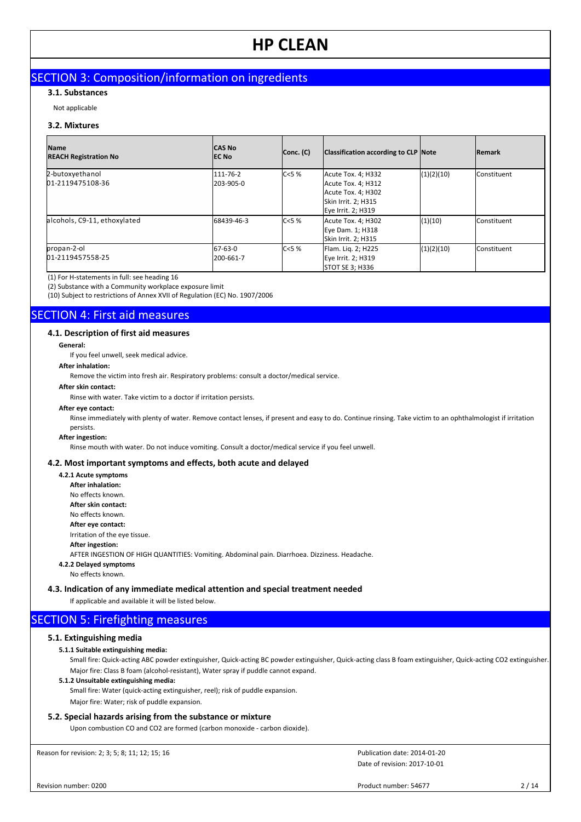# SECTION 3: Composition/information on ingredients

# **3.1. Substances**

Not applicable

# **3.2. Mixtures**

| <b>Name</b><br><b>REACH Registration No</b> | <b>CAS No</b><br><b>IEC No</b> | Conc. (C) | Classification according to CLP Note                                                                        |            | <b>Remark</b>        |
|---------------------------------------------|--------------------------------|-----------|-------------------------------------------------------------------------------------------------------------|------------|----------------------|
| 2-butoxyethanol<br>01-2119475108-36         | 111-76-2<br>l203-905-0         | C<5%      | Acute Tox. 4; H332<br>Acute Tox. 4; H312<br>Acute Tox. 4; H302<br>Skin Irrit. 2; H315<br>Eye Irrit. 2; H319 | (1)(2)(10) | <b>l</b> Constituent |
| alcohols, C9-11, ethoxylated                | 68439-46-3                     | C < 5%    | Acute Tox. 4; H302<br>Eye Dam. 1; H318<br>Skin Irrit. 2; H315                                               | (1)(10)    | <b>l</b> Constituent |
| propan-2-ol<br>01-2119457558-25             | 67-63-0<br>l200-661-7          | IC<5 %    | Flam. Lig. 2; H225<br>Eye Irrit. 2; H319<br><b>STOT SE 3; H336</b>                                          | (1)(2)(10) | <b>l</b> Constituent |

(1) For H-statements in full: see heading 16

(2) Substance with a Community workplace exposure limit

(10) Subject to restrictions of Annex XVII of Regulation (EC) No. 1907/2006

# SECTION 4: First aid measures

## **4.1. Description of first aid measures**

#### **General:**

If you feel unwell, seek medical advice.

# **After inhalation:**

Remove the victim into fresh air. Respiratory problems: consult a doctor/medical service.

#### **After skin contact:**

Rinse with water. Take victim to a doctor if irritation persists.

# **After eye contact:**

Rinse immediately with plenty of water. Remove contact lenses, if present and easy to do. Continue rinsing. Take victim to an ophthalmologist if irritation persists.

# **After ingestion:**

Rinse mouth with water. Do not induce vomiting. Consult a doctor/medical service if you feel unwell.

# **4.2. Most important symptoms and effects, both acute and delayed**

**4.2.1 Acute symptoms After inhalation:** No effects known. **After skin contact:** No effects known. **After eye contact:** Irritation of the eye tissue. **After ingestion:** AFTER INGESTION OF HIGH QUANTITIES: Vomiting. Abdominal pain. Diarrhoea. Dizziness. Headache. **4.2.2 Delayed symptoms**

#### No effects known.

# **4.3. Indication of any immediate medical attention and special treatment needed**

If applicable and available it will be listed below.

# **SECTION 5: Firefighting measures**

# **5.1. Extinguishing media**

# **5.1.1 Suitable extinguishing media:**

Small fire: Quick-acting ABC powder extinguisher, Quick-acting BC powder extinguisher, Quick-acting class B foam extinguisher, Quick-acting CO2 extinguisher. Major fire: Class B foam (alcohol-resistant), Water spray if puddle cannot expand.

### **5.1.2 Unsuitable extinguishing media:**

Small fire: Water (quick-acting extinguisher, reel); risk of puddle expansion. Major fire: Water; risk of puddle expansion.

# **5.2. Special hazards arising from the substance or mixture**

Upon combustion CO and CO2 are formed (carbon monoxide - carbon dioxide).

Reason for revision: 2; 3; 5; 8; 11; 12; 15; 16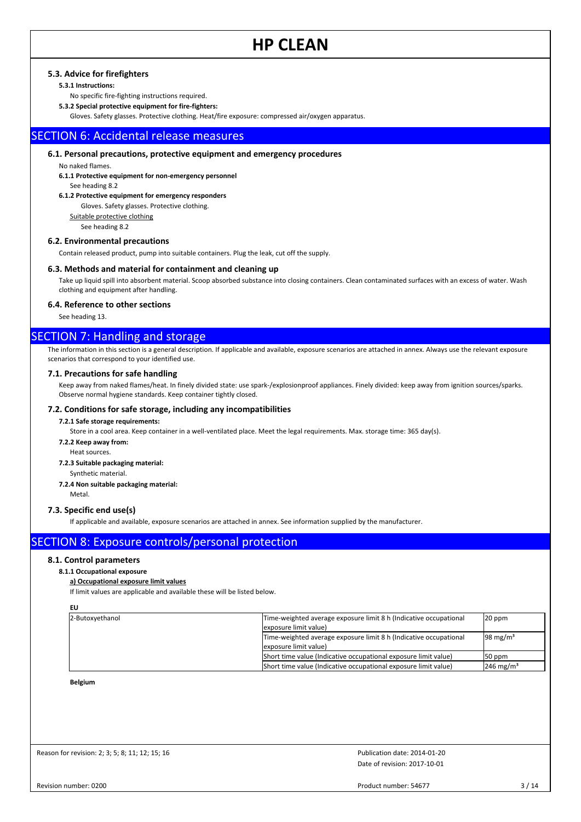# **5.3. Advice for firefighters**

# **5.3.1 Instructions:**

No specific fire-fighting instructions required.

**5.3.2 Special protective equipment for fire-fighters:**

Gloves. Safety glasses. Protective clothing. Heat/fire exposure: compressed air/oxygen apparatus.

# SECTION 6: Accidental release measures

# **6.1. Personal precautions, protective equipment and emergency procedures**

No naked flames. **6.1.1 Protective equipment for non-emergency personnel**

# See heading 8.2

**6.1.2 Protective equipment for emergency responders**

#### Gloves. Safety glasses. Protective clothing.

Suitable protective clothing

See heading 8.2

# **6.2. Environmental precautions**

Contain released product, pump into suitable containers. Plug the leak, cut off the supply.

### **6.3. Methods and material for containment and cleaning up**

Take up liquid spill into absorbent material. Scoop absorbed substance into closing containers. Clean contaminated surfaces with an excess of water. Wash clothing and equipment after handling.

# **6.4. Reference to other sections**

See heading 13.

# SECTION 7: Handling and storage

The information in this section is a general description. If applicable and available, exposure scenarios are attached in annex. Always use the relevant exposure scenarios that correspond to your identified use.

## **7.1. Precautions for safe handling**

Keep away from naked flames/heat. In finely divided state: use spark-/explosionproof appliances. Finely divided: keep away from ignition sources/sparks. Observe normal hygiene standards. Keep container tightly closed.

### **7.2. Conditions for safe storage, including any incompatibilities**

#### **7.2.1 Safe storage requirements:**

Store in a cool area. Keep container in a well-ventilated place. Meet the legal requirements. Max. storage time: 365 day(s).

- **7.2.2 Keep away from:**
	- Heat sources.

#### **7.2.3 Suitable packaging material:**

Synthetic material.

### **7.2.4 Non suitable packaging material:**

Metal.

## **7.3. Specific end use(s)**

If applicable and available, exposure scenarios are attached in annex. See information supplied by the manufacturer.

# SECTION 8: Exposure controls/personal protection

# **8.1. Control parameters**

# **8.1.1 Occupational exposure**

**a) Occupational exposure limit values**

If limit values are applicable and available these will be listed below.

**EU**

| 2-Butoxyethanol | Time-weighted average exposure limit 8 h (Indicative occupational<br>lexposure limit value) | $20$ ppm              |
|-----------------|---------------------------------------------------------------------------------------------|-----------------------|
|                 | Time-weighted average exposure limit 8 h (Indicative occupational<br>lexposure limit value) | 98 mg/m <sup>3</sup>  |
|                 | (Short time value (Indicative occupational exposure limit value)                            | 50 ppm                |
|                 | Short time value (Indicative occupational exposure limit value)                             | 246 mg/m <sup>3</sup> |

**Belgium**

Reason for revision: 2; 3; 5; 8; 11; 12; 15; 16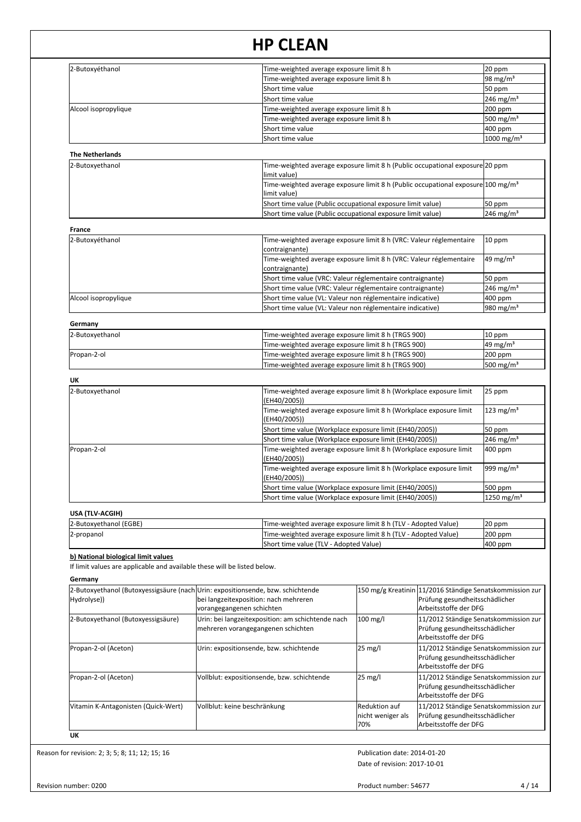| 2-Butoxyéthanol                                                                 |                                       | Time-weighted average exposure limit 8 h                                                                     |                                                          |                                                         | 20 ppm                  |
|---------------------------------------------------------------------------------|---------------------------------------|--------------------------------------------------------------------------------------------------------------|----------------------------------------------------------|---------------------------------------------------------|-------------------------|
|                                                                                 |                                       | Time-weighted average exposure limit 8 h                                                                     |                                                          |                                                         | 98 mg/m $3$             |
|                                                                                 |                                       | Short time value                                                                                             |                                                          |                                                         | 50 ppm                  |
|                                                                                 |                                       | Short time value                                                                                             |                                                          |                                                         | $246$ mg/m <sup>3</sup> |
| Alcool isopropylique                                                            |                                       | Time-weighted average exposure limit 8 h                                                                     |                                                          |                                                         | 200 ppm                 |
|                                                                                 |                                       | Time-weighted average exposure limit 8 h                                                                     |                                                          |                                                         | 500 mg/m <sup>3</sup>   |
|                                                                                 |                                       | Short time value                                                                                             |                                                          |                                                         | 400 ppm                 |
|                                                                                 |                                       | Short time value                                                                                             |                                                          |                                                         | 1000 mg/m <sup>3</sup>  |
| <b>The Netherlands</b>                                                          |                                       |                                                                                                              |                                                          |                                                         |                         |
| 2-Butoxyethanol                                                                 |                                       | Time-weighted average exposure limit 8 h (Public occupational exposure 20 ppm<br>limit value)                |                                                          |                                                         |                         |
|                                                                                 |                                       | Time-weighted average exposure limit 8 h (Public occupational exposure 100 mg/m <sup>3</sup><br>limit value) |                                                          |                                                         |                         |
|                                                                                 |                                       | Short time value (Public occupational exposure limit value)                                                  |                                                          |                                                         | 50 ppm                  |
|                                                                                 |                                       | Short time value (Public occupational exposure limit value)                                                  |                                                          |                                                         | $246 \text{ mg/m}^3$    |
|                                                                                 |                                       |                                                                                                              |                                                          |                                                         |                         |
| France<br>2-Butoxyéthanol                                                       |                                       | Time-weighted average exposure limit 8 h (VRC: Valeur réglementaire                                          |                                                          |                                                         | 10 ppm                  |
|                                                                                 |                                       | contraignante)                                                                                               |                                                          |                                                         |                         |
|                                                                                 |                                       | Time-weighted average exposure limit 8 h (VRC: Valeur réglementaire                                          |                                                          |                                                         | 49 mg/m <sup>3</sup>    |
|                                                                                 |                                       | contraignante)                                                                                               |                                                          |                                                         |                         |
|                                                                                 |                                       | Short time value (VRC: Valeur réglementaire contraignante)                                                   |                                                          |                                                         | 50 ppm                  |
|                                                                                 |                                       | Short time value (VRC: Valeur réglementaire contraignante)                                                   |                                                          |                                                         | $246$ mg/m <sup>3</sup> |
| Alcool isopropylique                                                            |                                       | Short time value (VL: Valeur non réglementaire indicative)                                                   |                                                          |                                                         | 400 ppm                 |
|                                                                                 |                                       | Short time value (VL: Valeur non réglementaire indicative)                                                   |                                                          |                                                         | 980 mg/m <sup>3</sup>   |
| Germany                                                                         |                                       |                                                                                                              |                                                          |                                                         |                         |
| 2-Butoxyethanol                                                                 |                                       | Time-weighted average exposure limit 8 h (TRGS 900)                                                          |                                                          |                                                         | 10 ppm                  |
|                                                                                 |                                       | Time-weighted average exposure limit 8 h (TRGS 900)                                                          |                                                          |                                                         | 49 mg/m $3$             |
| Propan-2-ol                                                                     |                                       | Time-weighted average exposure limit 8 h (TRGS 900)                                                          |                                                          |                                                         | 200 ppm                 |
|                                                                                 |                                       | Time-weighted average exposure limit 8 h (TRGS 900)                                                          |                                                          |                                                         | 500 mg/m <sup>3</sup>   |
|                                                                                 |                                       |                                                                                                              |                                                          |                                                         |                         |
| UK                                                                              |                                       |                                                                                                              |                                                          |                                                         |                         |
| 2-Butoxyethanol                                                                 |                                       | Time-weighted average exposure limit 8 h (Workplace exposure limit                                           |                                                          |                                                         | 25 ppm                  |
|                                                                                 |                                       | (EH40/2005))<br>Time-weighted average exposure limit 8 h (Workplace exposure limit                           |                                                          |                                                         | $123$ mg/m <sup>3</sup> |
|                                                                                 |                                       | (EH40/2005))                                                                                                 |                                                          |                                                         |                         |
|                                                                                 |                                       | Short time value (Workplace exposure limit (EH40/2005))                                                      |                                                          |                                                         |                         |
|                                                                                 |                                       | $246$ mg/m <sup>3</sup><br>Short time value (Workplace exposure limit (EH40/2005))                           |                                                          |                                                         |                         |
| Propan-2-ol                                                                     |                                       | Time-weighted average exposure limit 8 h (Workplace exposure limit                                           | 400 ppm                                                  |                                                         |                         |
|                                                                                 |                                       | (EH40/2005))                                                                                                 |                                                          |                                                         | 999 mg/m <sup>3</sup>   |
|                                                                                 |                                       | Time-weighted average exposure limit 8 h (Workplace exposure limit                                           |                                                          |                                                         |                         |
|                                                                                 |                                       | (EH40/2005))                                                                                                 |                                                          |                                                         |                         |
|                                                                                 |                                       | Short time value (Workplace exposure limit (EH40/2005))                                                      |                                                          |                                                         |                         |
|                                                                                 |                                       | Short time value (Workplace exposure limit (EH40/2005))                                                      |                                                          |                                                         | 1250 mg/m <sup>3</sup>  |
| USA (TLV-ACGIH)                                                                 |                                       |                                                                                                              |                                                          |                                                         |                         |
| 2-Butoxyethanol (EGBE)                                                          |                                       | Time-weighted average exposure limit 8 h (TLV - Adopted Value)                                               |                                                          |                                                         | 20 ppm                  |
| 2-propanol                                                                      |                                       | Time-weighted average exposure limit 8 h (TLV - Adopted Value)                                               |                                                          |                                                         | 200 ppm                 |
|                                                                                 |                                       | Short time value (TLV - Adopted Value)<br>400 ppm                                                            |                                                          |                                                         |                         |
| b) National biological limit values                                             |                                       |                                                                                                              |                                                          |                                                         |                         |
| If limit values are applicable and available these will be listed below.        |                                       |                                                                                                              |                                                          |                                                         |                         |
| Germany                                                                         |                                       |                                                                                                              |                                                          |                                                         |                         |
| 2-Butoxyethanol (Butoxyessigsäure (nach Urin: expositionsende, bzw. schichtende |                                       |                                                                                                              | 150 mg/g Kreatinin 11/2016 Ständige Senatskommission zur |                                                         |                         |
| Hydrolyse))                                                                     | bei langzeitexposition: nach mehreren |                                                                                                              |                                                          | Prüfung gesundheitsschädlicher                          |                         |
|                                                                                 | vorangegangenen schichten             |                                                                                                              |                                                          | Arbeitsstoffe der DFG                                   |                         |
| 2-Butoxyethanol (Butoxyessigsäure)                                              |                                       | Urin: bei langzeitexposition: am schichtende nach                                                            | $100$ mg/l                                               | 11/2012 Ständige Senatskommission zur                   |                         |
|                                                                                 | mehreren vorangegangenen schichten    |                                                                                                              |                                                          | Prüfung gesundheitsschädlicher                          |                         |
|                                                                                 |                                       |                                                                                                              |                                                          | Arbeitsstoffe der DFG                                   |                         |
| Propan-2-ol (Aceton)                                                            |                                       | Urin: expositionsende, bzw. schichtende                                                                      | $25 \text{ mg/l}$                                        | 11/2012 Ständige Senatskommission zur                   |                         |
|                                                                                 |                                       |                                                                                                              |                                                          | Prüfung gesundheitsschädlicher                          |                         |
|                                                                                 |                                       |                                                                                                              |                                                          | Arbeitsstoffe der DFG                                   |                         |
| Propan-2-ol (Aceton)                                                            |                                       | Vollblut: expositionsende, bzw. schichtende                                                                  | 25 mg/l                                                  | 11/2012 Ständige Senatskommission zur                   |                         |
|                                                                                 |                                       |                                                                                                              |                                                          | Prüfung gesundheitsschädlicher<br>Arbeitsstoffe der DFG |                         |
|                                                                                 |                                       |                                                                                                              |                                                          |                                                         |                         |
|                                                                                 |                                       | <b>Reduktion auf</b><br>11/2012 Ständige Senatskommission zur                                                |                                                          |                                                         |                         |
| Vitamin K-Antagonisten (Quick-Wert)                                             | Vollblut: keine beschränkung          |                                                                                                              | nicht weniger als                                        | Prüfung gesundheitsschädlicher                          |                         |

Reason for revision: 2; 3; 5; 8; 11; 12; 15; 16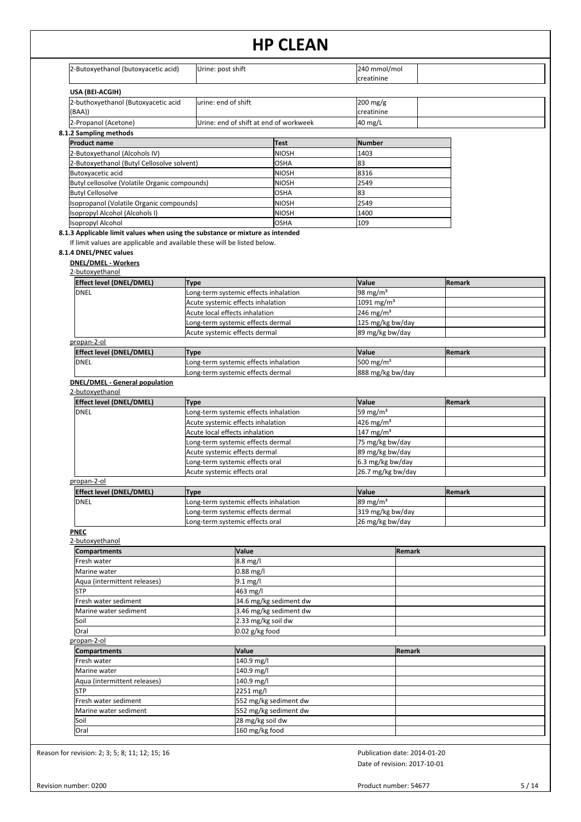| 2-Butoxyethanol (butoxyacetic acid)                                                                                                                 | Urine: post shift           |                                                                      | 240 mmol/mol                                    |               |
|-----------------------------------------------------------------------------------------------------------------------------------------------------|-----------------------------|----------------------------------------------------------------------|-------------------------------------------------|---------------|
|                                                                                                                                                     |                             |                                                                      | creatinine                                      |               |
| USA (BEI-ACGIH)                                                                                                                                     |                             |                                                                      |                                                 |               |
| 2-buthoxyethanol (Butoxyacetic acid<br>(BAA))                                                                                                       | urine: end of shift         |                                                                      | 200 mg/g<br>creatinine                          |               |
| 2-Propanol (Acetone)                                                                                                                                |                             | Urine: end of shift at end of workweek                               | 40 mg/L                                         |               |
| 8.1.2 Sampling methods                                                                                                                              |                             |                                                                      |                                                 |               |
| <b>Product name</b>                                                                                                                                 |                             | <b>Test</b>                                                          | <b>Number</b>                                   |               |
| 2-Butoxyethanol (Alcohols IV)                                                                                                                       |                             | <b>NIOSH</b>                                                         | 1403                                            |               |
| 2-Butoxyethanol (Butyl Cellosolve solvent)<br>Butoxyacetic acid                                                                                     |                             | OSHA<br>NIOSH                                                        | 83<br>8316                                      |               |
| Butyl cellosolve (Volatile Organic compounds)                                                                                                       |                             | NIOSH                                                                | 2549                                            |               |
| <b>Butyl Cellosolve</b>                                                                                                                             |                             | OSHA                                                                 | 83                                              |               |
| Isopropanol (Volatile Organic compounds)                                                                                                            |                             | <b>NIOSH</b>                                                         | 2549                                            |               |
| (Isopropyl Alcohol (Alcohols I                                                                                                                      |                             | <b>NIOSH</b><br><b>OSHA</b>                                          | 1400<br>109                                     |               |
| Isopropyl Alcohol<br>8.1.3 Applicable limit values when using the substance or mixture as intended                                                  |                             |                                                                      |                                                 |               |
| If limit values are applicable and available these will be listed below.<br>8.1.4 DNEL/PNEC values<br><b>DNEL/DMEL - Workers</b><br>2-butoxyethanol |                             |                                                                      |                                                 |               |
| <b>Effect level (DNEL/DMEL)</b>                                                                                                                     | Type                        |                                                                      | Value                                           | Remark        |
| <b>DNEL</b>                                                                                                                                         |                             | Long-term systemic effects inhalation                                | 98 mg/m <sup>3</sup>                            |               |
|                                                                                                                                                     |                             | Acute systemic effects inhalation<br>Acute local effects inhalation  | 1091 mg/m <sup>3</sup><br>246 mg/m <sup>3</sup> |               |
|                                                                                                                                                     |                             | Long-term systemic effects dermal                                    | 125 mg/kg bw/day                                |               |
|                                                                                                                                                     |                             | Acute systemic effects dermal                                        | 89 mg/kg bw/day                                 |               |
| propan-2-ol                                                                                                                                         |                             |                                                                      |                                                 |               |
| Effect level (DNEL/DMEL)<br><b>DNEL</b>                                                                                                             | Type                        | Long-term systemic effects inhalation                                | Value<br>500 mg/m <sup>3</sup>                  | Remark        |
|                                                                                                                                                     |                             | Long-term systemic effects dermal                                    | 888 mg/kg bw/day                                |               |
| 2-butoxyethanol<br>Effect level (DNEL/DMEL)<br><b>DNEL</b>                                                                                          | Type                        | Long-term systemic effects inhalation                                | Value<br>59 mg/m $3$                            | Remark        |
|                                                                                                                                                     |                             | Acute systemic effects inhalation<br>Acute local effects inhalation  | 426 mg/m <sup>3</sup><br>147 mg/m $3$           |               |
|                                                                                                                                                     |                             | Long-term systemic effects dermal                                    | 75 mg/kg bw/day                                 |               |
|                                                                                                                                                     |                             | Acute systemic effects dermal                                        | 89 mg/kg bw/day                                 |               |
|                                                                                                                                                     | Acute systemic effects oral | Long-term systemic effects oral                                      | 6.3 mg/kg bw/day<br>26.7 mg/kg bw/day           |               |
| propan-2-ol                                                                                                                                         |                             |                                                                      |                                                 |               |
| <b>Effect level (DNEL/DMEL)</b>                                                                                                                     | Type                        |                                                                      | Value                                           | <b>Remark</b> |
| <b>DNEL</b>                                                                                                                                         |                             | Long-term systemic effects inhalation                                | $89 \text{ mg/m}^3$                             |               |
|                                                                                                                                                     |                             | Long-term systemic effects dermal<br>Long-term systemic effects oral | 319 mg/kg bw/day<br>26 mg/kg bw/day             |               |
| <b>PNEC</b>                                                                                                                                         |                             |                                                                      |                                                 |               |
| 2-butoxyethanol                                                                                                                                     |                             |                                                                      |                                                 |               |
|                                                                                                                                                     |                             | Value                                                                | Remark                                          |               |
| <b>Compartments</b>                                                                                                                                 |                             | $8.8$ mg/l<br>0.88 mg/l                                              |                                                 |               |
| Fresh water                                                                                                                                         |                             |                                                                      |                                                 |               |
| Marine water<br>Aqua (intermittent releases)                                                                                                        |                             | 9.1 mg/l                                                             |                                                 |               |
| <b>STP</b>                                                                                                                                          |                             | 463 mg/l                                                             |                                                 |               |
| Fresh water sediment                                                                                                                                |                             | 34.6 mg/kg sediment dw                                               |                                                 |               |
| Marine water sediment                                                                                                                               |                             | 3.46 mg/kg sediment dw                                               |                                                 |               |
| Soil                                                                                                                                                |                             | 2.33 mg/kg soil dw                                                   |                                                 |               |
| Oral<br>propan-2-ol                                                                                                                                 |                             | $0.02$ g/kg food                                                     |                                                 |               |
| <b>Compartments</b>                                                                                                                                 |                             | Value                                                                | Remark                                          |               |
| Fresh water                                                                                                                                         |                             | 140.9 mg/l                                                           |                                                 |               |
| Marine water                                                                                                                                        |                             | $140.9 \text{ mg/l}$                                                 |                                                 |               |
| Aqua (intermittent releases)                                                                                                                        |                             | 140.9 mg/l                                                           |                                                 |               |
| STP<br>Fresh water sediment                                                                                                                         |                             | 2251 mg/l<br>552 mg/kg sediment dw                                   |                                                 |               |
| Marine water sediment                                                                                                                               |                             | 552 mg/kg sediment dw                                                |                                                 |               |
| Soil<br>Oral                                                                                                                                        |                             | 28 mg/kg soil dw<br>160 mg/kg food                                   |                                                 |               |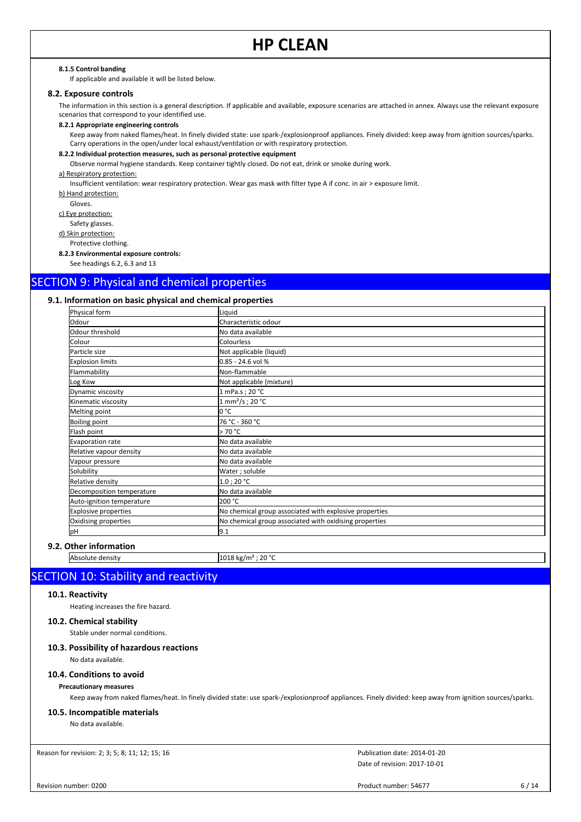#### **8.1.5 Control banding**

If applicable and available it will be listed below.

#### **8.2. Exposure controls**

The information in this section is a general description. If applicable and available, exposure scenarios are attached in annex. Always use the relevant exposure scenarios that correspond to your identified use.

#### **8.2.1 Appropriate engineering controls**

Keep away from naked flames/heat. In finely divided state: use spark-/explosionproof appliances. Finely divided: keep away from ignition sources/sparks. Carry operations in the open/under local exhaust/ventilation or with respiratory protection.

# **8.2.2 Individual protection measures, such as personal protective equipment**

Observe normal hygiene standards. Keep container tightly closed. Do not eat, drink or smoke during work.

### a) Respiratory protection:

Insufficient ventilation: wear respiratory protection. Wear gas mask with filter type A if conc. in air > exposure limit.

b) Hand protection:

Gloves.

c) Eye protection: Safety glasses.

d) Skin protection:

Protective clothing.

**8.2.3 Environmental exposure controls:**

See headings 6.2, 6.3 and 13

# SECTION 9: Physical and chemical properties

# **9.1. Information on basic physical and chemical properties**

| Physical form             | Liquid                                                 |
|---------------------------|--------------------------------------------------------|
| Odour                     | Characteristic odour                                   |
| Odour threshold           | No data available                                      |
| Colour                    | Colourless                                             |
| Particle size             | Not applicable (liquid)                                |
| <b>Explosion limits</b>   | 0.85 - 24.6 vol %                                      |
| Flammability              | Non-flammable                                          |
| Log Kow                   | Not applicable (mixture)                               |
| Dynamic viscosity         | 1 mPa.s; 20 °C                                         |
| Kinematic viscosity       | 1 mm <sup>2</sup> /s; 20 °C                            |
| Melting point             | lo °C                                                  |
| <b>Boiling point</b>      | 76 °C - 360 °C                                         |
| Flash point               | > 70 °C                                                |
| Evaporation rate          | No data available                                      |
| Relative vapour density   | No data available                                      |
| Vapour pressure           | No data available                                      |
| Solubility                | Water; soluble                                         |
| Relative density          | $1.0$ ; 20 °C                                          |
| Decomposition temperature | No data available                                      |
| Auto-ignition temperature | 200 °C                                                 |
| Explosive properties      | No chemical group associated with explosive properties |
| Oxidising properties      | No chemical group associated with oxidising properties |
| pH                        | 9.1                                                    |

# **9.2. Other information**

Absolute density 1018 kg/m<sup>3</sup> ; 20 °C

# SECTION 10: Stability and reactivity

# **10.1. Reactivity**

Heating increases the fire hazard.

# **10.2. Chemical stability**

Stable under normal conditions.

# **10.3. Possibility of hazardous reactions**

No data available.

# **10.4. Conditions to avoid**

#### **Precautionary measures**

Keep away from naked flames/heat. In finely divided state: use spark-/explosionproof appliances. Finely divided: keep away from ignition sources/sparks.

#### **10.5. Incompatible materials**

No data available.

Reason for revision: 2; 3; 5; 8; 11; 12; 15; 16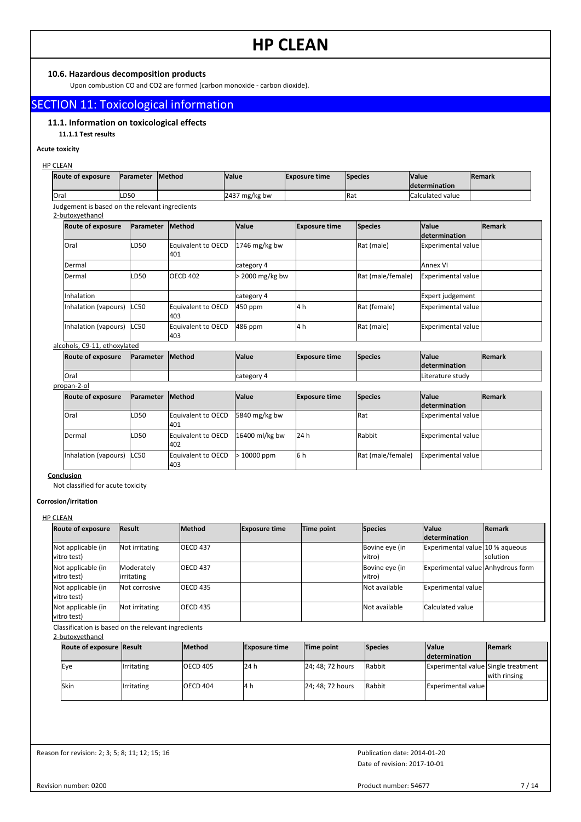# **10.6. Hazardous decomposition products**

Upon combustion CO and CO2 are formed (carbon monoxide - carbon dioxide).

# SECTION 11: Toxicological information

# **11.1. Information on toxicological effects**

# **11.1.1 Test results**

# **Acute toxicity**

# HP CLEAN

| <b>Route of exposure</b> | <b>Parameter Method</b> | <b>Value</b>            | <b>Exposure time</b> | <b>Species</b> | <b>Value</b><br><b>determination</b> | <b>IRemark</b> |
|--------------------------|-------------------------|-------------------------|----------------------|----------------|--------------------------------------|----------------|
| lOral                    | LD <sub>50</sub>        | $2437 \text{ mg/kg}$ bw |                      | <b>IRat</b>    | Calculated value                     |                |

Judgement is based on the relevant ingredients

#### 2-butoxyethanol

| <b>Route of exposure</b>     | <b>IParameter</b> | <b>Method</b>              | Value         | <b>Exposure time</b> | Species           | <b>Value</b><br><i>determination</i> | <b>Remark</b> |
|------------------------------|-------------------|----------------------------|---------------|----------------------|-------------------|--------------------------------------|---------------|
| <b>lOral</b>                 | LD <sub>50</sub>  | Equivalent to OECD<br>401  | 1746 mg/kg bw |                      | Rat (male)        | Experimental value                   |               |
| Dermal                       |                   |                            | category 4    |                      |                   | <b>JAnnex VI</b>                     |               |
| Dermal                       | LD <sub>50</sub>  | OECD <sub>402</sub>        | 2000 mg/kg bw |                      | Rat (male/female) | Experimental value                   |               |
| Inhalation                   |                   |                            | category 4    |                      |                   | Expert judgement                     |               |
| Inhalation (vapours)         | LC50              | Equivalent to OECD<br>l403 | 450 ppm       | 14 h                 | Rat (female)      | Experimental value                   |               |
| Inhalation (vapours)         | LC50              | Equivalent to OECD<br>1403 | 486 ppm       | 4 h                  | Rat (male)        | Experimental value                   |               |
| alcohols, C9-11, ethoxylated |                   |                            |               |                      |                   |                                      |               |
| <b>Route of exposure</b>     | <b>IParameter</b> | <b>Method</b>              | <b>Value</b>  | <b>Exposure time</b> | Species           | <b>Value</b>                         | <b>Remark</b> |

| <b>Route of exposure</b> | <b>IParameter</b> | <b>IMethod</b> | <i><b>Value</b></i> | <b>Exposure time</b> | <b>Species</b> | <b>Value</b>             | <b>IRemark</b> |
|--------------------------|-------------------|----------------|---------------------|----------------------|----------------|--------------------------|----------------|
|                          |                   |                |                     |                      |                | <b>Idetermination</b>    |                |
| lOral                    |                   |                | category 4          |                      |                | <b>ILiterature study</b> |                |

# propan-2-ol

| i Upali-2-Ui               |                   |                           |                |                      |                   |                                      |                |  |  |
|----------------------------|-------------------|---------------------------|----------------|----------------------|-------------------|--------------------------------------|----------------|--|--|
| Route of exposure          | <b>IParameter</b> | <b>Method</b>             | <b>Value</b>   | <b>Exposure time</b> | <b>Species</b>    | <b>Value</b><br><i>determination</i> | <b>IRemark</b> |  |  |
| lOral                      | ILD50             | Equivalent to OECD<br>401 | 5840 mg/kg bw  |                      | <b>IRat</b>       | Experimental value                   |                |  |  |
| Dermal                     | ILD50             | Equivalent to OECD<br>402 | 16400 ml/kg bw | 24 h                 | <b>Rabbit</b>     | Experimental value                   |                |  |  |
| Inhalation (vapours) ILC50 |                   | Equivalent to OECD<br>403 | $>10000$ ppm   | 6 h                  | Rat (male/female) | Experimental value                   |                |  |  |

# **Conclusion**

Not classified for acute toxicity

# **Corrosion/irritation**

### HP CLEAN

| <b>Route of exposure</b>                            | <b>Result</b>            | <b>Method</b> | <b>Exposure time</b> | Time point | Species                  | <b>Value</b><br>determination     | <b>Remark</b>   |
|-----------------------------------------------------|--------------------------|---------------|----------------------|------------|--------------------------|-----------------------------------|-----------------|
| Not applicable (in<br>vitro test)                   | Not irritating           | lOECD 437     |                      |            | Bovine eye (in<br>vitro) | Experimental value 10 % agueous   | <b>solution</b> |
| Not applicable (in<br>vitro test)                   | Moderately<br>irritating | lOECD 437     |                      |            | Bovine eye (in<br>vitro) | Experimental value Anhydrous form |                 |
| Not applicable (in<br>vitro test)                   | Not corrosive            | IOECD 435     |                      |            | Not available            | Experimental value                |                 |
| Not applicable (in<br>vitro test)                   | Not irritating           | IOECD 435     |                      |            | Not available            | Calculated value                  |                 |
| Classification is based on the relevant ingredients |                          |               |                      |            |                          |                                   |                 |

#### 2-butoxyethanol **Transformation Exposure time Time point Species Value determination Route of exposure Result Remark Remark Remark Exposure time Time point Species Value Remark** Eye **Irritating** OECD 405 24 h 24; 48; 72 hours Rabbit Experimental value Single treatment with rinsing Skin **Irritating** OECD 404 4 h 24; 48; 72 hours Rabbit Experimental value

Reason for revision: 2; 3; 5; 8; 11; 12; 15; 16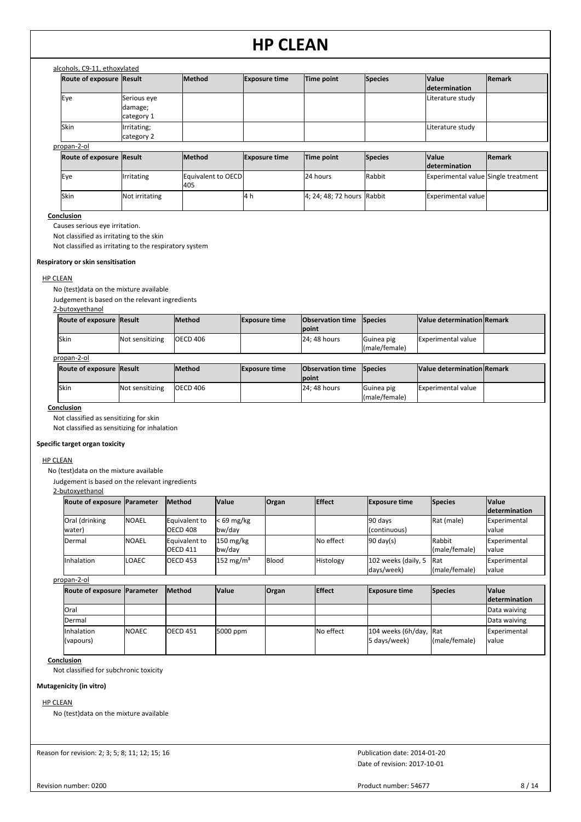| alcohols, C9-11, ethoxylated    |                                      |                 |                                                                         |                                                |                |                                      |        |
|---------------------------------|--------------------------------------|-----------------|-------------------------------------------------------------------------|------------------------------------------------|----------------|--------------------------------------|--------|
| <b>Route of exposure Result</b> |                                      | <b>Method</b>   | <b>Exposure time</b>                                                    | Time point                                     | <b>Species</b> | <b>Value</b><br><b>determination</b> | Remark |
| Eye                             | Serious eye<br>damage;<br>category 1 |                 |                                                                         |                                                |                | Literature study                     |        |
| <b>Skin</b>                     | Irritating;<br>category 2            |                 |                                                                         |                                                |                | Literature study                     |        |
| propan-2-ol                     |                                      | $0.0 - 1.0 - 1$ | $\mathbf{F}_{1}$ and $\mathbf{F}_{2}$ are a second and $\mathbf{F}_{2}$ | <b>The Contract Contract Contract Contract</b> | $P = 1.5$      | $1.1 - 1.1 - 1.1$                    |        |

| <b>Route of exposure Result</b> |                     | <b>Method</b>             | <b>Exposure time</b> | Time point                 | <b>Species</b> | <b>Value</b>                        | <b>Remark</b> |
|---------------------------------|---------------------|---------------------------|----------------------|----------------------------|----------------|-------------------------------------|---------------|
|                                 |                     |                           |                      |                            |                | <b>Idetermination</b>               |               |
| lEve                            | <b>I</b> Irritating | Equivalent to OECD<br>405 |                      | 24 hours                   | Rabbit         | Experimental value Single treatment |               |
| lSkin                           | Not irritating      |                           | 14 h                 | 4; 24; 48; 72 hours Rabbit |                | <b>Experimental value</b>           |               |

### **Conclusion**

Causes serious eye irritation.

Not classified as irritating to the skin

Not classified as irritating to the respiratory system

### **Respiratory or skin sensitisation**

# HP CLEAN

No (test)data on the mixture available

Judgement is based on the relevant ingredients

#### 2-butoxyethanol

| <b>Route of exposure Result</b> |                 | <b>Method</b>   | <b>Exposure time</b> | <b>Observation time Species</b> |                              | Value determination Remark |  |
|---------------------------------|-----------------|-----------------|----------------------|---------------------------------|------------------------------|----------------------------|--|
|                                 |                 |                 |                      | Ipoint                          |                              |                            |  |
| <b>Skin</b>                     | Not sensitizing | <b>OECD 406</b> |                      | 24: 48 hours                    | lGuinea pig<br>(male/female) | <b>Experimental value</b>  |  |

| ropan-2-c |
|-----------|
|           |

| Route of exposure Result |                 | <b>IMethod</b>  | <b>Exposure time</b> | <b>Observation time</b> Species<br><b>Ipoint</b> |                                     | Value determination Remark |  |
|--------------------------|-----------------|-----------------|----------------------|--------------------------------------------------|-------------------------------------|----------------------------|--|
| <b>Skin</b>              | Not sensitizing | <b>OECD 406</b> |                      | 24: 48 hours                                     | <b>IGuinea</b> pig<br>(male/female) | <b>Experimental value</b>  |  |

# **Conclusion**

Not classified as sensitizing for skin

Not classified as sensitizing for inhalation

# **Specific target organ toxicity**

#### HP CLEAN

No (test)data on the mixture available

Judgement is based on the relevant ingredients

### 2-butoxyethanol

| <b>Route of exposure Parameter</b> |              | <b>Method</b>   | <b>Value</b>          | <b>Organ</b> | <b>Effect</b> | <b>Exposure time</b>    | Species       | <b>Value</b>  |
|------------------------------------|--------------|-----------------|-----------------------|--------------|---------------|-------------------------|---------------|---------------|
|                                    |              |                 |                       |              |               |                         |               | determination |
| Oral (drinking                     | <b>NOAEL</b> | Equivalent to   | $< 69$ mg/kg          |              |               | 90 days                 | Rat (male)    | Experimental  |
| water)                             |              | OECD 408        | bw/day                |              |               | (continuous)            |               | value         |
| Dermal                             | <b>NOAEL</b> | Equivalent to   | $150 \text{ mg/kg}$   |              | No effect     | $90 \text{ day}(s)$     | <b>Rabbit</b> | Experimental  |
|                                    |              | OECD 411        | bw/dav                |              |               |                         | (male/female) | value         |
| Inhalation                         | ILOAEC       | <b>OECD 453</b> | 152 mg/m <sup>3</sup> | Blood        | Histology     | 102 weeks (daily, 5 Rat |               | Experimental  |
|                                    |              |                 |                       |              |               | days/week)              | (male/female) | value         |

### propan-2-ol

| Route of exposure Parameter |              | <b>Method</b>   | <b>Value</b> | <b>Organ</b> | <b>Effect</b> | <b>Exposure time</b>                   | Species       | <b>Value</b>          |
|-----------------------------|--------------|-----------------|--------------|--------------|---------------|----------------------------------------|---------------|-----------------------|
|                             |              |                 |              |              |               |                                        |               | <b>determination</b>  |
| lOral                       |              |                 |              |              |               |                                        |               | Data waiving          |
| <b>IDermal</b>              |              |                 |              |              |               |                                        |               | Data waiving          |
| Inhalation<br>(vapours)     | <b>NOAEC</b> | <b>OECD</b> 451 | 5000 ppm     |              | No effect     | 104 weeks (6h/day, Rat<br>5 days/week) | (male/female) | Experimental<br>value |

# **Conclusion**

Not classified for subchronic toxicity

# **Mutagenicity (in vitro)**

# HP CLEAN

No (test)data on the mixture available

Reason for revision: 2; 3; 5; 8; 11; 12; 15; 16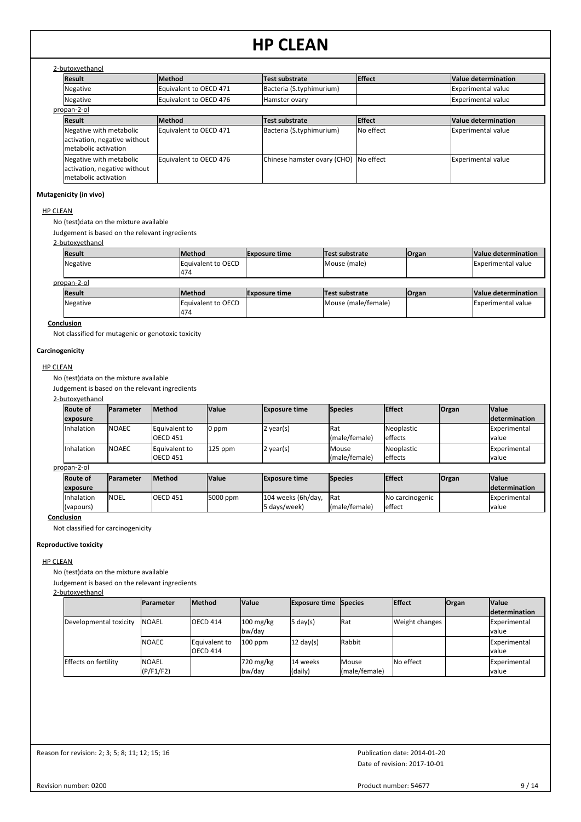| 2-butoxyethanol |  |
|-----------------|--|
|                 |  |

| z-putoxyethanor                                                                 |                        |                                       |                    |                     |  |  |  |  |  |  |  |  |
|---------------------------------------------------------------------------------|------------------------|---------------------------------------|--------------------|---------------------|--|--|--|--|--|--|--|--|
| <b>Result</b>                                                                   | <b>Method</b>          | Test substrate                        | <b>Effect</b>      | Value determination |  |  |  |  |  |  |  |  |
| Negative                                                                        | Equivalent to OECD 471 | Bacteria (S.typhimurium)              |                    | Experimental value  |  |  |  |  |  |  |  |  |
| Negative                                                                        | Equivalent to OECD 476 | Hamster ovary                         |                    | Experimental value  |  |  |  |  |  |  |  |  |
| propan-2-ol                                                                     |                        |                                       |                    |                     |  |  |  |  |  |  |  |  |
| Result                                                                          | <b>Method</b>          | <b>Test substrate</b>                 | <b>Effect</b>      | Value determination |  |  |  |  |  |  |  |  |
| Negative with metabolic<br>activation, negative without<br>metabolic activation | Equivalent to OECD 471 | Bacteria (S.typhimurium)              | <b>I</b> No effect | Experimental value  |  |  |  |  |  |  |  |  |
| Negative with metabolic<br>activation, negative without<br>metabolic activation | Equivalent to OECD 476 | Chinese hamster ovary (CHO) No effect |                    | Experimental value  |  |  |  |  |  |  |  |  |

### **Mutagenicity (in vivo)**

# HP CLEAN

No (test)data on the mixture available

Judgement is based on the relevant ingredients

2-butoxyethanol

| <b>Result</b> | <b>Method</b>              | <b>Exposure time</b> | Test substrate      | <b>Organ</b> | Value determination       |  |  |  |  |
|---------------|----------------------------|----------------------|---------------------|--------------|---------------------------|--|--|--|--|
| Negative      | Equivalent to OECD         |                      | Mouse (male)        |              | <b>Experimental value</b> |  |  |  |  |
|               | 474                        |                      |                     |              |                           |  |  |  |  |
| propan-2-ol   |                            |                      |                     |              |                           |  |  |  |  |
| <b>Result</b> | <b>Method</b>              | <b>Exposure time</b> | Test substrate      | <b>Organ</b> | Value determination       |  |  |  |  |
| Negative      | <b>IEquivalent to OECD</b> |                      | Mouse (male/female) |              | <b>Experimental value</b> |  |  |  |  |
|               | 474                        |                      |                     |              |                           |  |  |  |  |

# **Conclusion**

Not classified for mutagenic or genotoxic toxicity

#### **Carcinogenicity**

HP CLEAN

No (test)data on the mixture available

Judgement is based on the relevant ingredients

2-butoxyethanol

| <b>Route of</b> | Parameter    | <b>Method</b>                    | <b>Value</b> | <b>Exposure time</b> | <b>Species</b>         | <b>Effect</b>         | <b>Organ</b> | <b>Value</b>                   |
|-----------------|--------------|----------------------------------|--------------|----------------------|------------------------|-----------------------|--------------|--------------------------------|
| exposure        |              |                                  |              |                      |                        |                       |              | <b>Idetermination</b>          |
| Inhalation      | <b>NOAEC</b> | Equivalent to<br><b>OECD 451</b> | 0 ppm        | $2$ year(s)          | Rat<br>(male/female)   | Neoplastic<br>effects |              | <b>IExperimental</b><br>lvalue |
| Inhalation      | <b>NOAEC</b> | Equivalent to<br><b>OECD 451</b> | $125$ ppm    | 2 year(s)            | Mouse<br>(male/female) | Neoplastic<br>effects |              | Experimental<br>lvalue         |

# propan-2-ol

| <b>Route of</b> | <b>Parameter</b> | <b>Method</b>    | <b>Value</b> | <b>Exposure time</b> | <b>Species</b> | <b>Effect</b>   | <b>Organ</b> | <b>Nalue</b>          |
|-----------------|------------------|------------------|--------------|----------------------|----------------|-----------------|--------------|-----------------------|
| lexposure       |                  |                  |              |                      |                |                 |              | <b>Idetermination</b> |
| Inhalation      | <b>NOEL</b>      | <b>IOECD 451</b> | 5000 ppm     | 104 weeks (6h/day,   | <b>IRat</b>    | No carcinogenic |              | <b>IExperimental</b>  |
| (vapours)       |                  |                  |              | l5 davs/week)        | (male/female)  | effect          |              | Ivalue                |

**Conclusion**

Not classified for carcinogenicity

# **Reproductive toxicity**

HP CLEAN

No (test)data on the mixture available

Judgement is based on the relevant ingredients

2-butoxyethanol

|                             | <b>IParameter</b>         | <b>Method</b>             | <b>Value</b>                  | <b>Exposure time Species</b> |                        | <b>IEffect</b> | <b>Organ</b> | <b>Value</b>                   |
|-----------------------------|---------------------------|---------------------------|-------------------------------|------------------------------|------------------------|----------------|--------------|--------------------------------|
|                             |                           |                           |                               |                              |                        |                |              | <b>determination</b>           |
| Developmental toxicity      | <b>INOAEL</b>             | OECD 414                  | $100 \text{ mg/kg}$<br>bw/day | 5 day(s)                     | Rat                    | Weight changes |              | Experimental<br><b>I</b> value |
|                             | <b>INOAEC</b>             | Equivalent to<br>OECD 414 | $100$ ppm                     | $12 \text{ day}(s)$          | Rabbit                 |                |              | Experimental<br>Ivalue         |
| <b>Effects on fertility</b> | <b>NOAEL</b><br>(P/F1/F2) |                           | 720 mg/kg<br>bw/dav           | 14 weeks<br>(daily)          | Mouse<br>(male/female) | No effect      |              | Experimental<br>Ivalue         |

Reason for revision: 2; 3; 5; 8; 11; 12; 15; 16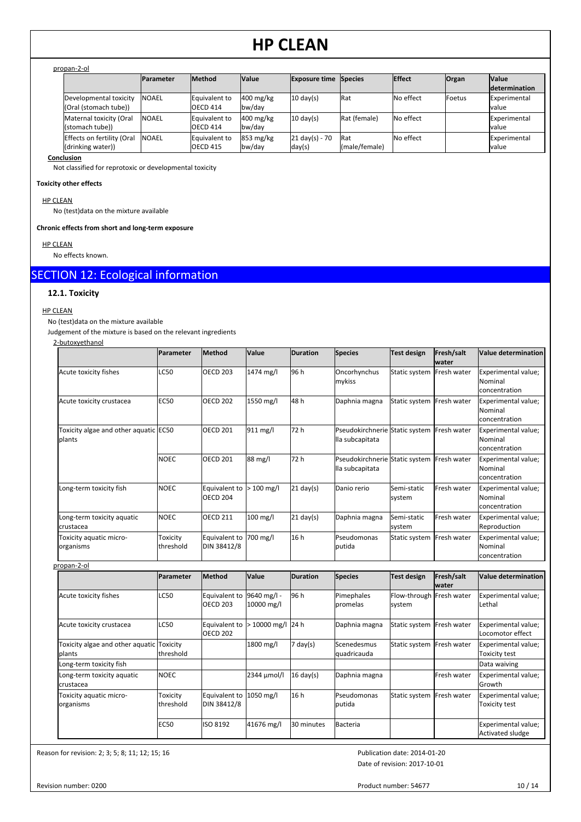### propan-2-ol

|                                                 | <b>IParameter</b> | <b>Method</b>                    | <b>Value</b>                  | <b>Exposure time Species</b>       |                              | <b>Effect</b> | <b>Organ</b>   | <b>Value</b><br><i>determination</i> |
|-------------------------------------------------|-------------------|----------------------------------|-------------------------------|------------------------------------|------------------------------|---------------|----------------|--------------------------------------|
| Developmental toxicity<br>(Oral (stomach tube)) | <b>INOAEL</b>     | Equivalent to<br>OECD 414        | $400$ mg/kg<br>bw/day         | $10 \text{ day(s)}$                | <b>Rat</b>                   | No effect     | <b>IFoetus</b> | Experimental<br>lvalue               |
| Maternal toxicity (Oral<br>(stomach tube))      | <b>INOAEL</b>     | Equivalent to<br>OECD 414        | $400$ mg/kg<br>bw/day         | $10 \text{ day(s)}$                | Rat (female)                 | No effect     |                | Experimental<br>lvalue               |
| Effects on fertility (Oral<br>(drinking water)) | <b>NOAEL</b>      | <b>Equivalent to</b><br>OECD 415 | $853 \text{ mg/kg}$<br>bw/day | $21 \text{ day(s)} - 70$<br>day(s) | <b>IRat</b><br>(male/female) | No effect     |                | Experimental<br>lvalue               |

**Conclusion**

Not classified for reprotoxic or developmental toxicity

## **Toxicity other effects**

HP CLEAN

No (test)data on the mixture available

**Chronic effects from short and long-term exposure**

HP CLEAN

No effects known.

# SECTION 12: Ecological information

# **12.1. Toxicity**

HP CLEAN

No (test)data on the mixture available

Judgement of the mixture is based on the relevant ingredients

2-butoxyethanol

|                                                           | Parameter             | <b>Method</b>                    | <b>Value</b>       | <b>Duration</b>     | <b>Species</b>                                    | Test design           | Fresh/salt<br>lwater | Value determination                             |
|-----------------------------------------------------------|-----------------------|----------------------------------|--------------------|---------------------|---------------------------------------------------|-----------------------|----------------------|-------------------------------------------------|
| Acute toxicity fishes                                     | LC50                  | <b>OECD 203</b>                  | 1474 mg/l          | 96 h                | Oncorhynchus<br>mykiss                            | Static system         | Fresh water          | Experimental value;<br>Nominal<br>concentration |
| Acute toxicity crustacea                                  | <b>EC50</b>           | <b>OECD 202</b>                  | 1550 mg/l          | 48 h                | Daphnia magna                                     | Static system         | Fresh water          | Experimental value;<br>Nominal<br>concentration |
| Toxicity algae and other aquatic EC50<br>plants           |                       | <b>OECD 201</b>                  | 911 mg/l           | 72 h                | Pseudokirchnerie Static system<br>lla subcapitata |                       | <b>Fresh water</b>   | Experimental value;<br>Nominal<br>concentration |
|                                                           | <b>NOEC</b>           | <b>OECD 201</b>                  | 88 mg/l            | 72 h                | Pseudokirchnerie Static system<br>lla subcapitata |                       | Fresh water          | Experimental value;<br>Nominal<br>concentration |
| Long-term toxicity fish                                   | <b>NOEC</b>           | Equivalent to<br><b>OECD 204</b> | $100 \text{ mg/l}$ | $21 \text{ day}(s)$ | Danio rerio                                       | Semi-static<br>system | Fresh water          | Experimental value;<br>Nominal<br>concentration |
| Long-term toxicity aquatic<br>crustacea                   | <b>NOEC</b>           | <b>OECD 211</b>                  | $100$ mg/l         | $21$ day(s)         | Daphnia magna                                     | Semi-static<br>system | Fresh water          | Experimental value;<br>Reproduction             |
| Toxicity aquatic micro-<br>organisms<br>المراكب والمستحدث | Toxicity<br>threshold | Equivalent to<br>DIN 38412/8     | 700 mg/l           | 16 h                | Pseudomonas<br>putida                             | Static system         | <b>Fresh water</b>   | Experimental value;<br>Nominal<br>concentration |

| propan-2-ol                                         |                       |                                  |                           |                     |                            |                                    |                      |                                         |
|-----------------------------------------------------|-----------------------|----------------------------------|---------------------------|---------------------|----------------------------|------------------------------------|----------------------|-----------------------------------------|
|                                                     | <b>Parameter</b>      | <b>Method</b>                    | Value                     | <b>Duration</b>     | <b>Species</b>             | Test design                        | Fresh/salt<br>lwater | Value determination                     |
| Acute toxicity fishes                               | <b>LC50</b>           | Equivalent to<br><b>OECD 203</b> | 9640 mg/l -<br>10000 mg/l | 96 h                | Pimephales<br>promelas     | Flow-through Fresh water<br>system |                      | Experimental value;<br>Lethal           |
| Acute toxicity crustacea                            | <b>LC50</b>           | Equivalent to<br><b>OECD 202</b> | > 10000 mg/l 24 h         |                     | Daphnia magna              | Static system                      | <b>Fresh water</b>   | Experimental value;<br>Locomotor effect |
| Toxicity algae and other aquatic Toxicity<br>plants | threshold             |                                  | 1800 mg/l                 | $7$ day(s)          | Scenedesmus<br>quadricauda | Static system   Fresh water        |                      | Experimental value;<br>Toxicity test    |
| Long-term toxicity fish                             |                       |                                  |                           |                     |                            |                                    |                      | Data waiving                            |
| Long-term toxicity aquatic<br>Icrustacea            | <b>NOEC</b>           |                                  | 2344 umol/l               | $16 \text{ day(s)}$ | Daphnia magna              |                                    | Fresh water          | Experimental value;<br>Growth           |
| Toxicity aquatic micro-<br>organisms                | Toxicity<br>threshold | Equivalent to<br>DIN 38412/8     | 1050 mg/l                 | 16 h                | Pseudomonas<br>putida      | Static system                      | Fresh water          | Experimental value;<br>Toxicity test    |
|                                                     | <b>EC50</b>           | ISO 8192                         | 41676 mg/l                | 30 minutes          | Bacteria                   |                                    |                      | Experimental value;<br>Activated sludge |

Reason for revision: 2; 3; 5; 8; 11; 12; 15; 16

Date of revision: 2017-10-01 Publication date: 2014-01-20

Revision number: 0200

Product number: 54677 10 / 14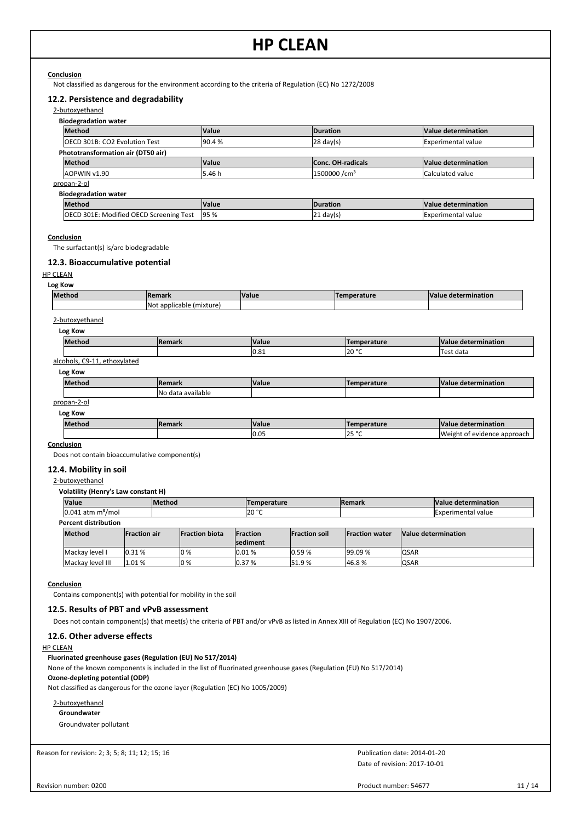# **Conclusion**

Not classified as dangerous for the environment according to the criteria of Regulation (EC) No 1272/2008

# **12.2. Persistence and degradability**

#### 2-butoxyethanol

| Method                                                                                                     |        | Value  | Duration                | Value determination        |
|------------------------------------------------------------------------------------------------------------|--------|--------|-------------------------|----------------------------|
| <b>OECD 301B: CO2 Evolution Test</b>                                                                       |        | 90.4%  | $28 \text{ day(s)}$     | <b>Experimental value</b>  |
| Phototransformation air (DT50 air)                                                                         |        |        |                         |                            |
| Method                                                                                                     |        | Value  | Conc. OH-radicals       | <b>Value determination</b> |
| AOPWIN v1.90                                                                                               |        | 5.46 h | 1500000/cm <sup>3</sup> | Calculated value           |
| propan-2-ol                                                                                                |        |        |                         |                            |
| <b>Biodegradation water</b>                                                                                |        |        |                         |                            |
| Method                                                                                                     |        | Value  | Duration                | <b>Value determination</b> |
| OECD 301E: Modified OECD Screening Test                                                                    |        |        |                         |                            |
|                                                                                                            |        | 95 %   | $ 21 \text{ day}(s) $   | <b>Experimental value</b>  |
| Conclusion<br>The surfactant(s) is/are biodegradable<br>12.3. Bioaccumulative potential<br><b>HP CLEAN</b> |        |        |                         |                            |
| Log Kow<br>Method                                                                                          | Remark | Value  | Temperature             | <b>Value determination</b> |

| <b>Methoo</b> | <b>Remark</b> | <b>Value</b> | erature        | <b>Value</b><br>determination |
|---------------|---------------|--------------|----------------|-------------------------------|
|               |               | n o<br>U.ŏ1  | lan °C<br>14 J | $\sim$<br>est data            |
| $   -$<br>. . |               |              |                |                               |

#### alcohols, C9-11, ethoxylated **Log Kow**

| LUE INUVE     |                   |              |                    |                             |
|---------------|-------------------|--------------|--------------------|-----------------------------|
| <b>Method</b> | <b>Remark</b>     | <b>Value</b> | <b>Temperature</b> | Value determination         |
|               | No data available |              |                    |                             |
| propan-2-ol   |                   |              |                    |                             |
| Log Kow       |                   |              |                    |                             |
| <b>Method</b> | <b>Remark</b>     | <b>Value</b> | <b>Temperature</b> | Value determination         |
|               |                   | 0.05         | l25 °C             | Weight of evidence approach |

**Conclusion**

Does not contain bioaccumulative component(s)

### **12.4. Mobility in soil**

2-butoxyethanol

**Volatility (Henry's Law constant H)**

| <b>Value</b>                     |                     | <b>Method</b> |                        |                  | <b>Temperature</b> |                      | <b>Remark</b>          |                     | Value determination       |
|----------------------------------|---------------------|---------------|------------------------|------------------|--------------------|----------------------|------------------------|---------------------|---------------------------|
| $[0.041$ atm m <sup>3</sup> /mol |                     |               |                        |                  | 20 °C              |                      |                        |                     | <b>Experimental value</b> |
| <b>Percent distribution</b>      |                     |               |                        |                  |                    |                      |                        |                     |                           |
| <b>Method</b>                    | <b>Fraction air</b> |               | <b>IFraction biota</b> | <b>IFraction</b> |                    | <b>Fraction soil</b> | <b>IFraction water</b> | Value determination |                           |
|                                  |                     |               |                        | lsediment        |                    |                      |                        |                     |                           |
| Mackay level I                   | 0.31%               |               | $10\%$                 | 0.01%            |                    | 0.59%                | 99.09 %                | <b>QSAR</b>         |                           |
| Mackay level III                 | 1.01%               |               | $10\%$                 | 0.37 %           |                    | 51.9%                | 46.8%                  | <b>QSAR</b>         |                           |

# **Conclusion**

Contains component(s) with potential for mobility in the soil

# **12.5. Results of PBT and vPvB assessment**

Does not contain component(s) that meet(s) the criteria of PBT and/or vPvB as listed in Annex XIII of Regulation (EC) No 1907/2006.

# **12.6. Other adverse effects**

# HP CLEAN

# **Fluorinated greenhouse gases (Regulation (EU) No 517/2014)**

None of the known components is included in the list of fluorinated greenhouse gases (Regulation (EU) No 517/2014) **Ozone-depleting potential (ODP)**

Not classified as dangerous for the ozone layer (Regulation (EC) No 1005/2009)

2-butoxyethanol **Groundwater** Groundwater pollutant

Reason for revision: 2; 3; 5; 8; 11; 12; 15; 16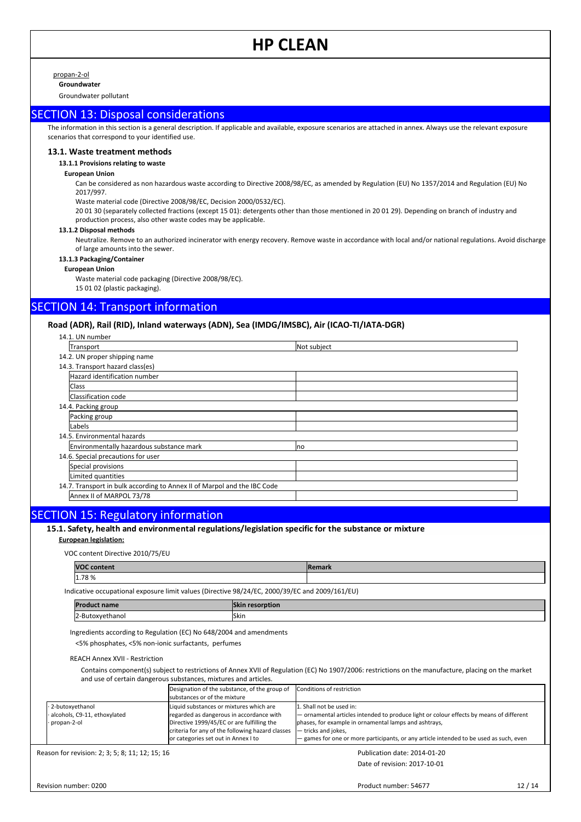propan-2-ol

**Groundwater** Groundwater pollutant

# SECTION 13: Disposal considerations

The information in this section is a general description. If applicable and available, exposure scenarios are attached in annex. Always use the relevant exposure scenarios that correspond to your identified use.

#### **13.1. Waste treatment methods**

# **13.1.1 Provisions relating to waste**

#### **European Union**

Can be considered as non hazardous waste according to Directive 2008/98/EC, as amended by Regulation (EU) No 1357/2014 and Regulation (EU) No 2017/997.

Waste material code (Directive 2008/98/EC, Decision 2000/0532/EC).

20 01 30 (separately collected fractions (except 15 01): detergents other than those mentioned in 20 01 29). Depending on branch of industry and production process, also other waste codes may be applicable.

#### **13.1.2 Disposal methods**

Neutralize. Remove to an authorized incinerator with energy recovery. Remove waste in accordance with local and/or national regulations. Avoid discharge of large amounts into the sewer.

#### **13.1.3 Packaging/Container**

**European Union**

Waste material code packaging (Directive 2008/98/EC). 15 01 02 (plastic packaging).

# SECTION 14: Transport information

# **Road (ADR), Rail (RID), Inland waterways (ADN), Sea (IMDG/IMSBC), Air (ICAO-TI/IATA-DGR)**

| 14.1. UN number                                                          |             |
|--------------------------------------------------------------------------|-------------|
| Transport                                                                | Not subject |
| 14.2. UN proper shipping name                                            |             |
| 14.3. Transport hazard class(es)                                         |             |
| Hazard identification number                                             |             |
| <b>Class</b>                                                             |             |
| Classification code                                                      |             |
| 14.4. Packing group                                                      |             |
| Packing group                                                            |             |
| Labels                                                                   |             |
| 14.5. Environmental hazards                                              |             |
| Environmentally hazardous substance mark                                 | <b>no</b>   |
| 14.6. Special precautions for user                                       |             |
| Special provisions                                                       |             |
| Limited quantities                                                       |             |
| 14.7. Transport in bulk according to Annex II of Marpol and the IBC Code |             |
| Annex II of MARPOL 73/78                                                 |             |

# SECTION 15: Regulatory information

15.1. Safety, health and environmental regulations/legislation specific for the substance or mixture

### **European legislation:**

VOC content Directive 2010/75/EU

| <b>VOC content</b> | Remark |
|--------------------|--------|
| 1.78%              |        |

Indicative occupational exposure limit values (Directive 98/24/EC, 2000/39/EC and 2009/161/EU)

| <b>IPr</b>              | <b>Skin</b> |
|-------------------------|-------------|
| ' name                  | resorption  |
| *^xvethanoi<br>.<br>. . | <b>Skin</b> |

Ingredients according to Regulation (EC) No 648/2004 and amendments

<5% phosphates, <5% non-ionic surfactants, perfumes

REACH Annex XVII - Restriction

Contains component(s) subject to restrictions of Annex XVII of Regulation (EC) No 1907/2006: restrictions on the manufacture, placing on the market and use of certain dangerous substances, mixtures and articles.

|                              | Designation of the substance, of the group of<br>substances or of the mixture | Conditions of restriction                                                                |
|------------------------------|-------------------------------------------------------------------------------|------------------------------------------------------------------------------------------|
| 2-butoxyethanol              | Liquid substances or mixtures which are                                       | 1. Shall not be used in:                                                                 |
| alcohols, C9-11, ethoxylated | regarded as dangerous in accordance with                                      | - ornamental articles intended to produce light or colour effects by means of different  |
| propan-2-ol                  | Directive 1999/45/EC or are fulfilling the                                    | phases, for example in ornamental lamps and ashtrays,                                    |
|                              | criteria for any of the following hazard classes                              | - tricks and jokes,                                                                      |
|                              | or categories set out in Annex I to                                           | $-$ games for one or more participants, or any article intended to be used as such, even |

Reason for revision: 2; 3; 5; 8; 11; 12; 15; 16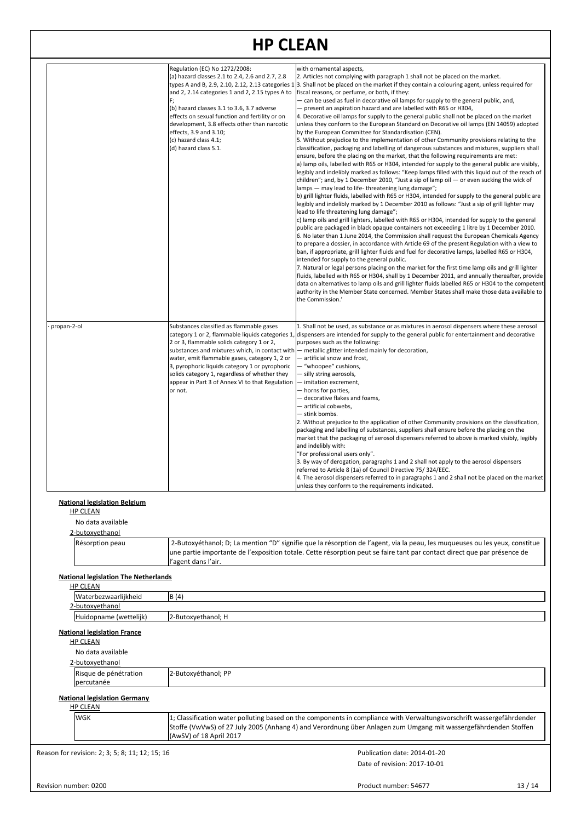|                                                                                               | Regulation (EC) No 1272/2008:<br>(a) hazard classes 2.1 to 2.4, 2.6 and 2.7, 2.8<br>and 2, 2.14 categories 1 and 2, 2.15 types A to<br>F;<br>(b) hazard classes 3.1 to 3.6, 3.7 adverse<br>effects on sexual function and fertility or on<br>development, 3.8 effects other than narcotic<br>effects, 3.9 and 3.10;<br>(c) hazard class 4.1;<br>(d) hazard class 5.1. | with ornamental aspects,<br>2. Articles not complying with paragraph 1 shall not be placed on the market.<br>types A and B, 2.9, 2.10, 2.12, 2.13 categories 1 3. Shall not be placed on the market if they contain a colouring agent, unless required for<br>fiscal reasons, or perfume, or both, if they:<br>- can be used as fuel in decorative oil lamps for supply to the general public, and,<br>- present an aspiration hazard and are labelled with R65 or H304,<br>4. Decorative oil lamps for supply to the general public shall not be placed on the market<br>unless they conform to the European Standard on Decorative oil lamps (EN 14059) adopted<br>by the European Committee for Standardisation (CEN).<br>5. Without prejudice to the implementation of other Community provisions relating to the<br>classification, packaging and labelling of dangerous substances and mixtures, suppliers shall<br>ensure, before the placing on the market, that the following requirements are met:<br>a) lamp oils, labelled with R65 or H304, intended for supply to the general public are visibly,<br>legibly and indelibly marked as follows: "Keep lamps filled with this liquid out of the reach of<br>children"; and, by 1 December 2010, "Just a sip of lamp oil - or even sucking the wick of<br>lamps - may lead to life-threatening lung damage";<br>b) grill lighter fluids, labelled with R65 or H304, intended for supply to the general public are<br>legibly and indelibly marked by 1 December 2010 as follows: "Just a sip of grill lighter may<br>lead to life threatening lung damage";<br>c) lamp oils and grill lighters, labelled with R65 or H304, intended for supply to the general<br>public are packaged in black opaque containers not exceeding 1 litre by 1 December 2010.<br>6. No later than 1 June 2014, the Commission shall request the European Chemicals Agency<br>to prepare a dossier, in accordance with Article 69 of the present Regulation with a view to<br>ban, if appropriate, grill lighter fluids and fuel for decorative lamps, labelled R65 or H304,<br>intended for supply to the general public.<br>7. Natural or legal persons placing on the market for the first time lamp oils and grill lighter<br>fluids, labelled with R65 or H304, shall by 1 December 2011, and annually thereafter, provide<br>data on alternatives to lamp oils and grill lighter fluids labelled R65 or H304 to the competent<br>authority in the Member State concerned. Member States shall make those data available to<br>the Commission.' |  |
|-----------------------------------------------------------------------------------------------|-----------------------------------------------------------------------------------------------------------------------------------------------------------------------------------------------------------------------------------------------------------------------------------------------------------------------------------------------------------------------|-------------------------------------------------------------------------------------------------------------------------------------------------------------------------------------------------------------------------------------------------------------------------------------------------------------------------------------------------------------------------------------------------------------------------------------------------------------------------------------------------------------------------------------------------------------------------------------------------------------------------------------------------------------------------------------------------------------------------------------------------------------------------------------------------------------------------------------------------------------------------------------------------------------------------------------------------------------------------------------------------------------------------------------------------------------------------------------------------------------------------------------------------------------------------------------------------------------------------------------------------------------------------------------------------------------------------------------------------------------------------------------------------------------------------------------------------------------------------------------------------------------------------------------------------------------------------------------------------------------------------------------------------------------------------------------------------------------------------------------------------------------------------------------------------------------------------------------------------------------------------------------------------------------------------------------------------------------------------------------------------------------------------------------------------------------------------------------------------------------------------------------------------------------------------------------------------------------------------------------------------------------------------------------------------------------------------------------------------------------------------------------------------------------------------------------------------------------------------------------------------------------------------------------------------------------------------------------------|--|
| propan-2-ol                                                                                   | Substances classified as flammable gases<br>category 1 or 2, flammable liquids categories 1<br>2 or 3, flammable solids category 1 or 2,                                                                                                                                                                                                                              | 1. Shall not be used, as substance or as mixtures in aerosol dispensers where these aerosol<br>lispensers are intended for supply to the general public for entertainment and decorative,<br>purposes such as the following:<br>substances and mixtures which, in contact with - metallic glitter intended mainly for decoration,                                                                                                                                                                                                                                                                                                                                                                                                                                                                                                                                                                                                                                                                                                                                                                                                                                                                                                                                                                                                                                                                                                                                                                                                                                                                                                                                                                                                                                                                                                                                                                                                                                                                                                                                                                                                                                                                                                                                                                                                                                                                                                                                                                                                                                                         |  |
|                                                                                               | water, emit flammable gases, category 1, 2 or<br>3, pyrophoric liquids category 1 or pyrophoric<br>solids category 1, regardless of whether they<br>appear in Part 3 of Annex VI to that Regulation<br>or not.                                                                                                                                                        | - artificial snow and frost,<br>- "whoopee" cushions,<br>- silly string aerosols,<br>- imitation excrement,<br>- horns for parties,<br>- decorative flakes and foams,<br>— artificial cobwebs,<br>- stink bombs.<br>2. Without prejudice to the application of other Community provisions on the classification,<br>packaging and labelling of substances, suppliers shall ensure before the placing on the<br>market that the packaging of aerosol dispensers referred to above is marked visibly, legibly<br>and indelibly with:<br>"For professional users only".<br>3. By way of derogation, paragraphs 1 and 2 shall not apply to the aerosol dispensers<br>referred to Article 8 (1a) of Council Directive 75/324/EEC.<br>4. The aerosol dispensers referred to in paragraphs 1 and 2 shall not be placed on the market<br>unless they conform to the requirements indicated.                                                                                                                                                                                                                                                                                                                                                                                                                                                                                                                                                                                                                                                                                                                                                                                                                                                                                                                                                                                                                                                                                                                                                                                                                                                                                                                                                                                                                                                                                                                                                                                                                                                                                                       |  |
| <b>National legislation Belgium</b><br><b>HP CLEAN</b><br>No data available                   |                                                                                                                                                                                                                                                                                                                                                                       |                                                                                                                                                                                                                                                                                                                                                                                                                                                                                                                                                                                                                                                                                                                                                                                                                                                                                                                                                                                                                                                                                                                                                                                                                                                                                                                                                                                                                                                                                                                                                                                                                                                                                                                                                                                                                                                                                                                                                                                                                                                                                                                                                                                                                                                                                                                                                                                                                                                                                                                                                                                           |  |
| 2-butoxyethanol                                                                               |                                                                                                                                                                                                                                                                                                                                                                       |                                                                                                                                                                                                                                                                                                                                                                                                                                                                                                                                                                                                                                                                                                                                                                                                                                                                                                                                                                                                                                                                                                                                                                                                                                                                                                                                                                                                                                                                                                                                                                                                                                                                                                                                                                                                                                                                                                                                                                                                                                                                                                                                                                                                                                                                                                                                                                                                                                                                                                                                                                                           |  |
| Résorption peau                                                                               | l'agent dans l'air.                                                                                                                                                                                                                                                                                                                                                   | 2-Butoxyéthanol; D; La mention "D" signifie que la résorption de l'agent, via la peau, les muqueuses ou les yeux, constitue<br>une partie importante de l'exposition totale. Cette résorption peut se faire tant par contact direct que par présence de                                                                                                                                                                                                                                                                                                                                                                                                                                                                                                                                                                                                                                                                                                                                                                                                                                                                                                                                                                                                                                                                                                                                                                                                                                                                                                                                                                                                                                                                                                                                                                                                                                                                                                                                                                                                                                                                                                                                                                                                                                                                                                                                                                                                                                                                                                                                   |  |
| <b>National legislation The Netherlands</b><br><b>HP CLEAN</b>                                |                                                                                                                                                                                                                                                                                                                                                                       |                                                                                                                                                                                                                                                                                                                                                                                                                                                                                                                                                                                                                                                                                                                                                                                                                                                                                                                                                                                                                                                                                                                                                                                                                                                                                                                                                                                                                                                                                                                                                                                                                                                                                                                                                                                                                                                                                                                                                                                                                                                                                                                                                                                                                                                                                                                                                                                                                                                                                                                                                                                           |  |
| Waterbezwaarlijkheid                                                                          | B(4)                                                                                                                                                                                                                                                                                                                                                                  |                                                                                                                                                                                                                                                                                                                                                                                                                                                                                                                                                                                                                                                                                                                                                                                                                                                                                                                                                                                                                                                                                                                                                                                                                                                                                                                                                                                                                                                                                                                                                                                                                                                                                                                                                                                                                                                                                                                                                                                                                                                                                                                                                                                                                                                                                                                                                                                                                                                                                                                                                                                           |  |
| 2-butoxyethanol<br>Huidopname (wettelijk)                                                     | 2-Butoxyethanol; H                                                                                                                                                                                                                                                                                                                                                    |                                                                                                                                                                                                                                                                                                                                                                                                                                                                                                                                                                                                                                                                                                                                                                                                                                                                                                                                                                                                                                                                                                                                                                                                                                                                                                                                                                                                                                                                                                                                                                                                                                                                                                                                                                                                                                                                                                                                                                                                                                                                                                                                                                                                                                                                                                                                                                                                                                                                                                                                                                                           |  |
| <b>National legislation France</b><br><b>HP CLEAN</b><br>No data available<br>2-butoxyethanol |                                                                                                                                                                                                                                                                                                                                                                       |                                                                                                                                                                                                                                                                                                                                                                                                                                                                                                                                                                                                                                                                                                                                                                                                                                                                                                                                                                                                                                                                                                                                                                                                                                                                                                                                                                                                                                                                                                                                                                                                                                                                                                                                                                                                                                                                                                                                                                                                                                                                                                                                                                                                                                                                                                                                                                                                                                                                                                                                                                                           |  |
| Risque de pénétration<br>percutanée                                                           | 2-Butoxyéthanol; PP                                                                                                                                                                                                                                                                                                                                                   |                                                                                                                                                                                                                                                                                                                                                                                                                                                                                                                                                                                                                                                                                                                                                                                                                                                                                                                                                                                                                                                                                                                                                                                                                                                                                                                                                                                                                                                                                                                                                                                                                                                                                                                                                                                                                                                                                                                                                                                                                                                                                                                                                                                                                                                                                                                                                                                                                                                                                                                                                                                           |  |
| <b>National legislation Germany</b>                                                           |                                                                                                                                                                                                                                                                                                                                                                       |                                                                                                                                                                                                                                                                                                                                                                                                                                                                                                                                                                                                                                                                                                                                                                                                                                                                                                                                                                                                                                                                                                                                                                                                                                                                                                                                                                                                                                                                                                                                                                                                                                                                                                                                                                                                                                                                                                                                                                                                                                                                                                                                                                                                                                                                                                                                                                                                                                                                                                                                                                                           |  |
| <b>HP CLEAN</b><br>WGK                                                                        |                                                                                                                                                                                                                                                                                                                                                                       | 1; Classification water polluting based on the components in compliance with Verwaltungsvorschrift wassergefährdender                                                                                                                                                                                                                                                                                                                                                                                                                                                                                                                                                                                                                                                                                                                                                                                                                                                                                                                                                                                                                                                                                                                                                                                                                                                                                                                                                                                                                                                                                                                                                                                                                                                                                                                                                                                                                                                                                                                                                                                                                                                                                                                                                                                                                                                                                                                                                                                                                                                                     |  |
|                                                                                               | (AwSV) of 18 April 2017                                                                                                                                                                                                                                                                                                                                               | Stoffe (VwVwS) of 27 July 2005 (Anhang 4) and Verordnung über Anlagen zum Umgang mit wassergefährdenden Stoffen                                                                                                                                                                                                                                                                                                                                                                                                                                                                                                                                                                                                                                                                                                                                                                                                                                                                                                                                                                                                                                                                                                                                                                                                                                                                                                                                                                                                                                                                                                                                                                                                                                                                                                                                                                                                                                                                                                                                                                                                                                                                                                                                                                                                                                                                                                                                                                                                                                                                           |  |
|                                                                                               |                                                                                                                                                                                                                                                                                                                                                                       |                                                                                                                                                                                                                                                                                                                                                                                                                                                                                                                                                                                                                                                                                                                                                                                                                                                                                                                                                                                                                                                                                                                                                                                                                                                                                                                                                                                                                                                                                                                                                                                                                                                                                                                                                                                                                                                                                                                                                                                                                                                                                                                                                                                                                                                                                                                                                                                                                                                                                                                                                                                           |  |
| Reason for revision: 2; 3; 5; 8; 11; 12; 15; 16                                               |                                                                                                                                                                                                                                                                                                                                                                       | Publication date: 2014-01-20<br>Date of revision: 2017-10-01                                                                                                                                                                                                                                                                                                                                                                                                                                                                                                                                                                                                                                                                                                                                                                                                                                                                                                                                                                                                                                                                                                                                                                                                                                                                                                                                                                                                                                                                                                                                                                                                                                                                                                                                                                                                                                                                                                                                                                                                                                                                                                                                                                                                                                                                                                                                                                                                                                                                                                                              |  |
| Revision number: 0200                                                                         |                                                                                                                                                                                                                                                                                                                                                                       | 13/14<br>Product number: 54677                                                                                                                                                                                                                                                                                                                                                                                                                                                                                                                                                                                                                                                                                                                                                                                                                                                                                                                                                                                                                                                                                                                                                                                                                                                                                                                                                                                                                                                                                                                                                                                                                                                                                                                                                                                                                                                                                                                                                                                                                                                                                                                                                                                                                                                                                                                                                                                                                                                                                                                                                            |  |